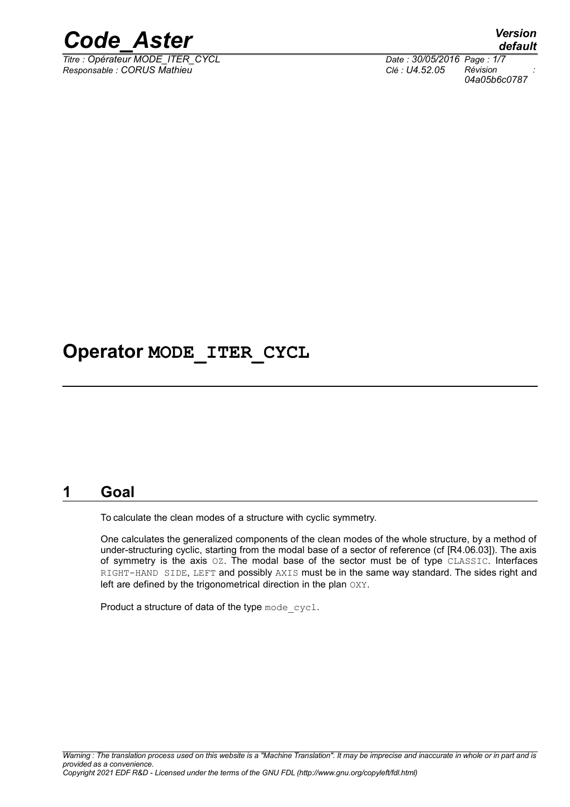

*Titre : Opérateur MODE\_ITER\_CYCL Date : 30/05/2016 Page : 1/7 Responsable : CORUS Mathieu Clé : U4.52.05 Révision :*

*default 04a05b6c0787*

## **Operator MODE\_ITER\_CYCL**

### **1 Goal**

To calculate the clean modes of a structure with cyclic symmetry.

One calculates the generalized components of the clean modes of the whole structure, by a method of under-structuring cyclic, starting from the modal base of a sector of reference (cf [R4.06.03]). The axis of symmetry is the axis OZ. The modal base of the sector must be of type CLASSIC. Interfaces RIGHT-HAND SIDE, LEFT and possibly AXIS must be in the same way standard. The sides right and left are defined by the trigonometrical direction in the plan OXY.

Product a structure of data of the type mode cycl.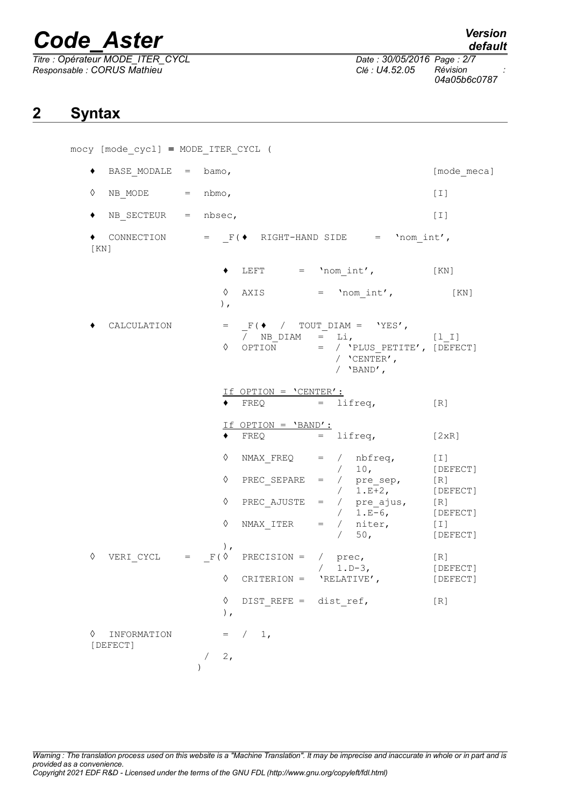*Titre : Opérateur MODE\_ITER\_CYCL Date : 30/05/2016 Page : 2/7 Responsable : CORUS Mathieu Clé : U4.52.05 Révision :*

mocy [mode\_cycl] **=** MODE\_ITER\_CYCL (

*default 04a05b6c0787*

## **2 Syntax**

|               | BASE MODALE $=$ bamo, |                            |                                               |                                                                                                                                                                                                                                                                  | [mode meca]       |
|---------------|-----------------------|----------------------------|-----------------------------------------------|------------------------------------------------------------------------------------------------------------------------------------------------------------------------------------------------------------------------------------------------------------------|-------------------|
| ♦             | NB MODE $=$ nbmo,     |                            |                                               |                                                                                                                                                                                                                                                                  | $[1]$             |
|               | NB SECTEUR = $nbsec,$ |                            |                                               |                                                                                                                                                                                                                                                                  | $[1]$             |
| KN            |                       |                            |                                               | CONNECTION = $F(\bullet \quad \text{RIGHT-HAND SIDE} \quad = \quad \text{'nom int}',$                                                                                                                                                                            |                   |
|               |                       | ٠                          |                                               | LEFT $=$ 'nom int', $[KN]$                                                                                                                                                                                                                                       |                   |
|               |                       | $\,$ ,                     |                                               | $\Diamond$ AXIS = 'nom int', [KN]                                                                                                                                                                                                                                |                   |
|               | CALCULATION           | ♦                          |                                               | = $_F$ ( $\bullet$ / TOUT_DIAM = 'YES',<br>$/$ NB_DIAM = Li, $[1_I]$<br>OPTION = / 'PLUS PETITE', [DEFECT]<br>/ $'CFNTER'$ ,<br>/ $'BAND'$ ,                                                                                                                     |                   |
|               |                       |                            | If OPTION = 'CENTER':<br>$\blacklozenge$ FREQ | $=$ lifreq,                                                                                                                                                                                                                                                      | $\lceil R \rceil$ |
|               |                       |                            | If OPTION = 'BAND':<br>FREQ                   | $=$ lifreq, $[2xR]$                                                                                                                                                                                                                                              |                   |
|               |                       | ♦<br>♦<br>♦<br>♦<br>$\,$ , |                                               | NMAX $FREQ = / nbfreq, [I]$<br>$/$ 10, [DEFECT]<br>PREC_SEPARE = $/$ pre_sep, [R]<br>PREC_AJUSTE = $/$ pre_ajus, [R]<br>PREC_AJUSTE = $/$ pre_ajus, [R]<br>$/$ 1.E-6, [DEFECT]<br>NMAX_ITER = $/$ niter, [I]<br>$/$ 50 [DEFECT]<br>$\sqrt{2}$<br>50 <sub>1</sub> | [DEFECT]          |
| ♦             |                       | ♦                          |                                               | VERI CYCL = $F(\Diamond \text{ PRECISION} = / \text{prec,}$<br>/ 1.D-3, [DEFECT]<br>$CRITERION = 'RELATIVE',$                                                                                                                                                    | [R]<br>[DEFECT]   |
|               |                       | ♦<br>),                    | DIST REFE = dist ref,                         |                                                                                                                                                                                                                                                                  | [R]               |
| ♦<br>[DEFECT] | INFORMATION           | 2,                         | $=$ $/$ 1,                                    |                                                                                                                                                                                                                                                                  |                   |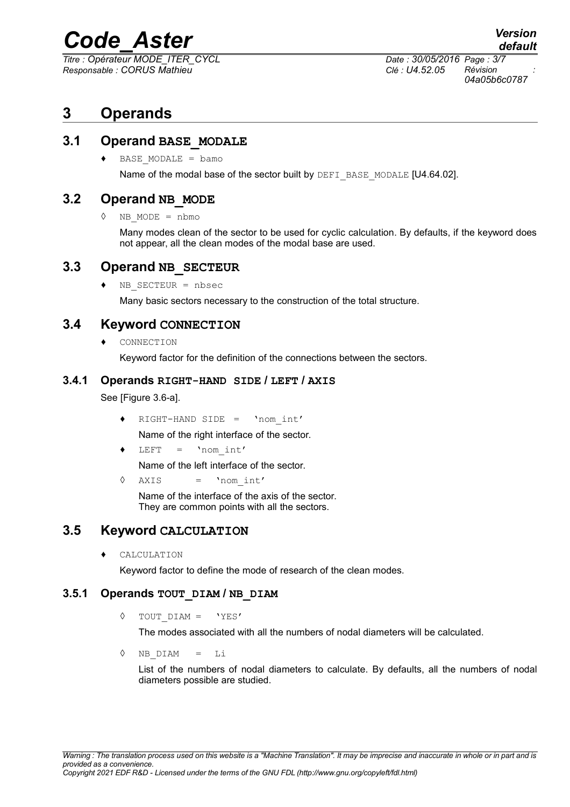*Titre : Opérateur MODE\_ITER\_CYCL Date : 30/05/2016 Page : 3/7 Responsable : CORUS Mathieu Clé : U4.52.05 Révision :*

*04a05b6c0787*

## **3 Operands**

#### **3.1 Operand BASE\_MODALE**

 $\triangleleft$  BASE MODALE = bamo

Name of the modal base of the sector built by DEFI\_BASE\_MODALE [U4.64.02].

#### **3.2 Operand NB\_MODE**

◊ NB\_MODE = nbmo

Many modes clean of the sector to be used for cyclic calculation. By defaults, if the keyword does not appear, all the clean modes of the modal base are used.

#### **3.3 Operand NB\_SECTEUR**

♦ NB\_SECTEUR = nbsec

Many basic sectors necessary to the construction of the total structure.

#### **3.4 Keyword CONNECTION**

CONNECTION

Keyword factor for the definition of the connections between the sectors.

#### **3.4.1 Operands RIGHT-HAND SIDE / LEFT / AXIS**

See [Figure 3.6-a].

- ♦ RIGHT-HAND SIDE = 'nom\_int'
- Name of the right interface of the sector.
- $LEFT = 'nom int'$

Name of the left interface of the sector.

◊ AXIS = 'nom\_int'

Name of the interface of the axis of the sector. They are common points with all the sectors.

#### **3.5 Keyword CALCULATION**

♦ CALCULATION

Keyword factor to define the mode of research of the clean modes.

#### **3.5.1 Operands TOUT\_DIAM / NB\_DIAM**

◊ TOUT\_DIAM = 'YES'

The modes associated with all the numbers of nodal diameters will be calculated.

◊ NB\_DIAM = Li

List of the numbers of nodal diameters to calculate. By defaults, all the numbers of nodal diameters possible are studied.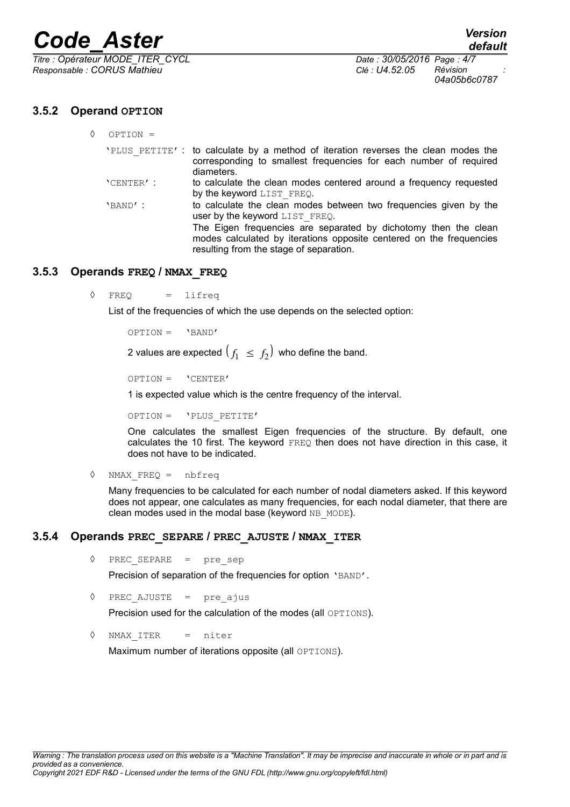*Titre : Opérateur MODE\_ITER\_CYCL Date : 30/05/2016 Page : 4/7 Responsable : CORUS Mathieu Clé : U4.52.05 Révision :*

*04a05b6c0787*

#### **3.5.2 Operand OPTION**

| ♦ | $OPTION =$ |                                                                                                                                                                                   |
|---|------------|-----------------------------------------------------------------------------------------------------------------------------------------------------------------------------------|
|   |            | 'PLUS PETITE': to calculate by a method of iteration reverses the clean modes the<br>corresponding to smallest frequencies for each number of required<br>diameters.              |
|   | 'CENTER' : | to calculate the clean modes centered around a frequency requested<br>by the keyword LIST FREQ.                                                                                   |
|   | $'$ BAND': | to calculate the clean modes between two frequencies given by the<br>user by the keyword LIST FREQ.                                                                               |
|   |            | The Eigen frequencies are separated by dichotomy then the clean<br>modes calculated by iterations opposite centered on the frequencies<br>resulting from the stage of separation. |

#### **3.5.3 Operands FREQ / NMAX\_FREQ**

◊ FREQ = lifreq

List of the frequencies of which the use depends on the selected option:

```
OPTION = 'BAND'
```
2 values are expected  $(f_1 \leq f_2)$  who define the band.

```
OPTION = 'CENTER'
```
1 is expected value which is the centre frequency of the interval.

OPTION = 'PLUS\_PETITE'

One calculates the smallest Eigen frequencies of the structure. By default, one calculates the 10 first. The keyword FREQ then does not have direction in this case, it does not have to be indicated.

◊ NMAX\_FREQ = nbfreq

Many frequencies to be calculated for each number of nodal diameters asked. If this keyword does not appear, one calculates as many frequencies, for each nodal diameter, that there are clean modes used in the modal base (keyword NB\_MODE).

#### **3.5.4 Operands PREC\_SEPARE / PREC\_AJUSTE / NMAX\_ITER**

◊ PREC\_SEPARE = pre\_sep

Precision of separation of the frequencies for option 'BAND'.

```
\Diamond PREC AJUSTE = pre ajus
```
Precision used for the calculation of the modes (all OPTIONS).

◊ NMAX\_ITER = niter

Maximum number of iterations opposite (all OPTIONS).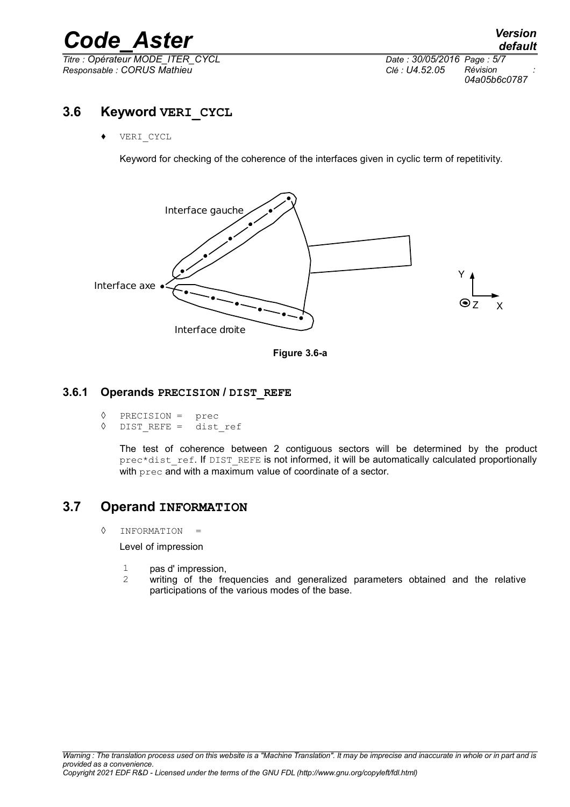*Titre : Opérateur MODE\_ITER\_CYCL Date : 30/05/2016 Page : 5/7 Responsable : CORUS Mathieu Clé : U4.52.05 Révision :*

*04a05b6c0787*

### **3.6 Keyword VERI\_CYCL**

VERI CYCL

Keyword for checking of the coherence of the interfaces given in cyclic term of repetitivity.



**Figure 3.6-a**

#### **3.6.1 Operands PRECISION / DIST\_REFE**

```
\sqrt[6]{} PRECISION = prec<br>\sqrt[6]{} DIST REFE = dist
```
DIST REFE = dist ref

The test of coherence between 2 contiguous sectors will be determined by the product prec\*dist\_ref. If DIST\_REFE is not informed, it will be automatically calculated proportionally with prec and with a maximum value of coordinate of a sector.

#### **3.7 Operand INFORMATION**

◊ INFORMATION =

Level of impression

- 1 pas d' impression,
- 2 writing of the frequencies and generalized parameters obtained and the relative participations of the various modes of the base.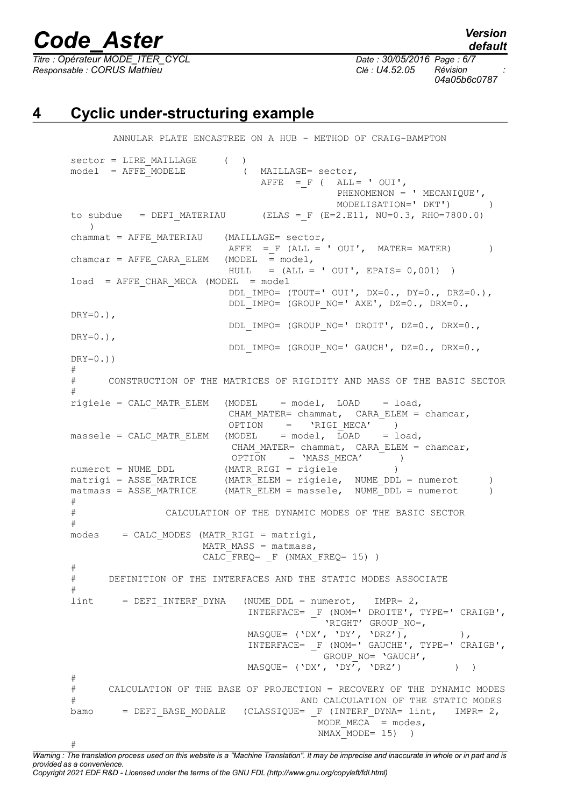#

*Titre : Opérateur MODE\_ITER\_CYCL Date : 30/05/2016 Page : 6/7 Responsable : CORUS Mathieu Clé : U4.52.05 Révision :*

*04a05b6c0787*

### **4 Cyclic under-structuring example**

```
ANNULAR PLATE ENCASTREE ON A HUB - METHOD OF CRAIG-BAMPTON
sector = LIRE MAILLAGE ( )
model = AFFF MODELE ( MAILLAGE= sector,
                              AFFE = F ( ALL = ' OUI',PHENOMENON = ' MECANIQUE',
                                         MODELISATION=' DKT') )
to subdue = DEFI_MATERIAU (ELAS = F (E=2.E11, NU=0.3, RHO=7800.0)
  )
channel = AFFF MATERIAU (MAILLAGE= sector,
                        AFFE =_F (ALL = ' OUI', MATER= MATER) )<br>(MODEL = model,
char = AFFE CARA ELEM
                        HULL = (ALL = ' OUT', EPAIS = 0,001) )load = AFFE CHAR MECA (MODEL = model DDL_IMPO= (TOUT=' OUI', DX=0., DY=0., DRZ=0.),
                          DDL_IMPO= (GROUP_NO=' AXE', DZ=0., DRX=0., 
DRY=0.),
                          DDL_IMPO= (GROUP_NO=' DROIT', DZ=0., DRX=0., 
DRY=0.),
                          DDL_IMPO= (GROUP_NO=' GAUCH', DZ=0., DRX=0., 
DRY=0.))
#
# CONSTRUCTION OF THE MATRICES OF RIGIDITY AND MASS OF THE BASIC SECTOR
#
rigiele = CALC_MATR_ELEM (MODEL = model, LOAD = load,
                        CHAM_MATER= chammat, CARA_ELEM = chamcar,
OPTION = 'RIGI_MECA' )
massele = CALC_MATR_ELEM (MODEL = model, LOAD = load,
                        CHAM MATER= chammat, CARA ELEM = chamcar,
                         OPTION = 'MASS_MECA' )
numerot = NUMBER DDL (MATR RIGI = rigiele )
matrix = ASSE MATRICE (MATR ELEM = rigiele, NUME DDL = numerot )
matus = ASSE</math> <i>MATRICE</i> (MATR <i>ELEM</i> = <i>massele</i>, <i>NUME</i> <i>DDL</i> = <i>numerot</i>)#
# CALCULATION OF THE DYNAMIC MODES OF THE BASIC SECTOR
#
modes = CALC MODES (MATR RIGI = matrix).MATR MASS = matmass,
                    CALC FREQ= F (NMAX FREQ= 15) )
#
# DEFINITION OF THE INTERFACES AND THE STATIC MODES ASSOCIATE
#
\text{limit} = DEFI INTERF DYNA (NUME DDL = numerot, IMPR= 2,
                            INTERFACE= _F (NOM=' DROITE', TYPE=' CRAIGB',
                                       'RIGHT' GROUP NO=,
   MASQUE= ( 'DX', 'DY', 'DRZ'), () INTERFACE= _F (NOM=' GAUCHE', TYPE=' CRAIGB',
                                       GROUP_NO= 'GAUCH',
                            MASQUE= ('DX', 'DY', 'DRZ') ) )
#
# CALCULATION OF THE BASE OF PROJECTION = RECOVERY OF THE DYNAMIC MODES
# AND CALCULATION OF THE STATIC MODES
bamo = DEFI_BASE_MODALE (CLASSIQUE= F (INTERF_DYNA= lint, IMPR= 2,
                                       MODE MECA = modes,
                                       NMAX MODE= 15)
```